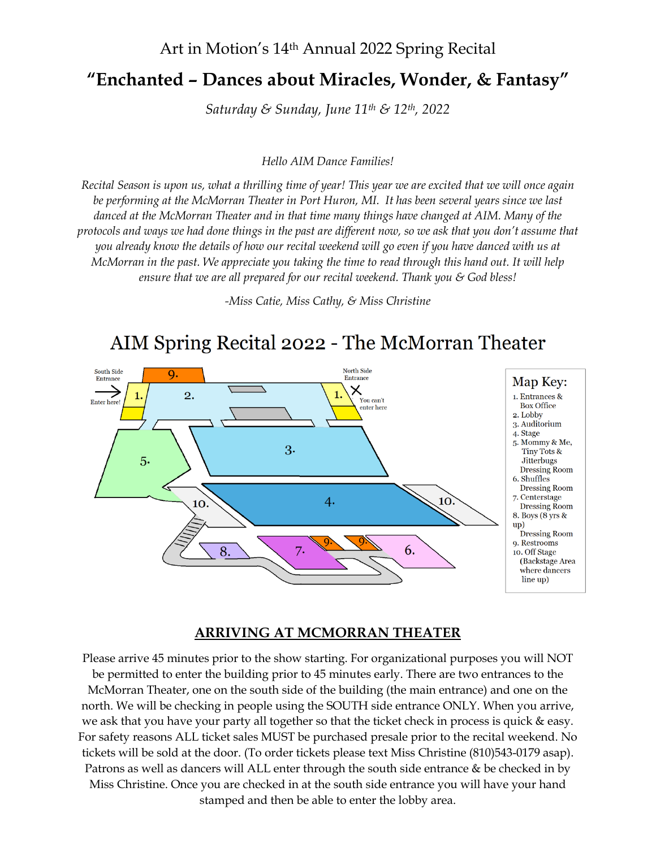### Art in Motion's 14th Annual 2022 Spring Recital

## **"Enchanted – Dances about Miracles, Wonder, & Fantasy"**

*Saturday & Sunday, June 11th & 12th, 2022*

*Hello AIM Dance Families!*

*Recital Season is upon us, what a thrilling time of year! This year we are excited that we will once again be performing at the McMorran Theater in Port Huron, MI. It has been several years since we last danced at the McMorran Theater and in that time many things have changed at AIM. Many of the protocols and ways we had done things in the past are different now, so we ask that you don't assume that you already know the details of how our recital weekend will go even if you have danced with us at McMorran in the past. We appreciate you taking the time to read through this hand out. It will help ensure that we are all prepared for our recital weekend. Thank you & God bless!*

*-Miss Catie, Miss Cathy, & Miss Christine*

# AIM Spring Recital 2022 - The McMorran Theater



#### **ARRIVING AT MCMORRAN THEATER**

Please arrive 45 minutes prior to the show starting. For organizational purposes you will NOT be permitted to enter the building prior to 45 minutes early. There are two entrances to the McMorran Theater, one on the south side of the building (the main entrance) and one on the north. We will be checking in people using the SOUTH side entrance ONLY. When you arrive, we ask that you have your party all together so that the ticket check in process is quick & easy. For safety reasons ALL ticket sales MUST be purchased presale prior to the recital weekend. No tickets will be sold at the door. (To order tickets please text Miss Christine (810)543-0179 asap). Patrons as well as dancers will ALL enter through the south side entrance & be checked in by Miss Christine. Once you are checked in at the south side entrance you will have your hand stamped and then be able to enter the lobby area.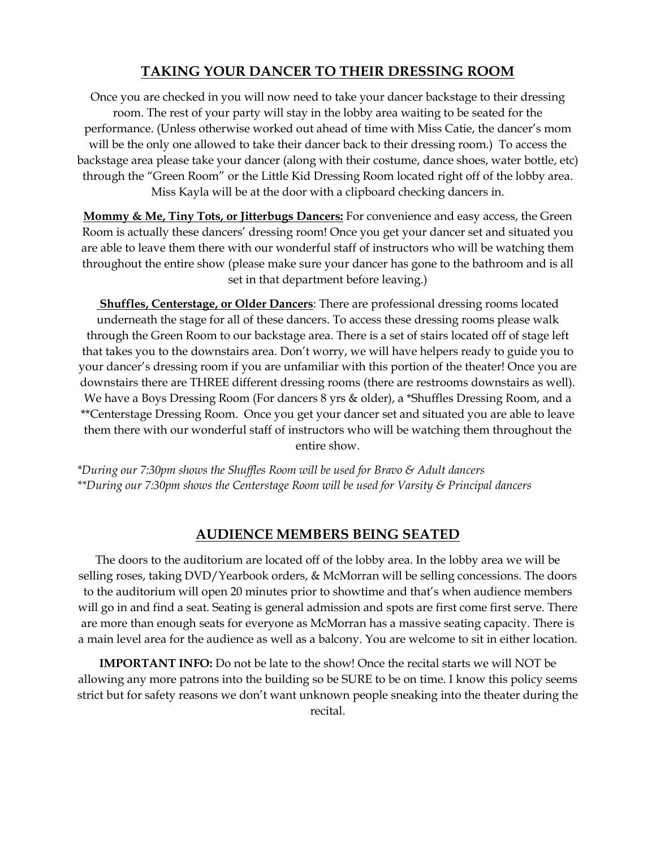#### **TAKING YOUR DANCER TO THEIR DRESSING ROOM**

Once you are checked in you will now need to take your dancer backstage to their dressing room. The rest of your party will stay in the lobby area waiting to be seated for the performance. (Unless otherwise worked out ahead of time with Miss Catie, the dancer's mom will be the only one allowed to take their dancer back to their dressing room.) To access the backstage area please take your dancer (along with their costume, dance shoes, water bottle, etc) through the "Green Room" or the Little Kid Dressing Room located right off of the lobby area. Miss Kayla will be at the door with a clipboard checking dancers in.

**Mommy & Me, Tiny Tots, or Jitterbugs Dancers:** For convenience and easy access, the Green Room is actually these dancers' dressing room! Once you get your dancer set and situated you are able to leave them there with our wonderful staff of instructors who will be watching them throughout the entire show (please make sure your dancer has gone to the bathroom and is all set in that department before leaving.)

**Shuffles, Centerstage, or Older Dancers**: There are professional dressing rooms located underneath the stage for all of these dancers. To access these dressing rooms please walk through the Green Room to our backstage area. There is a set of stairs located off of stage left that takes you to the downstairs area. Don't worry, we will have helpers ready to guide you to your dancer's dressing room if you are unfamiliar with this portion of the theater! Once you are downstairs there are THREE different dressing rooms (there are restrooms downstairs as well). We have a Boys Dressing Room (For dancers 8 yrs & older), a \*Shuffles Dressing Room, and a \*\*Centerstage Dressing Room. Once you get your dancer set and situated you are able to leave them there with our wonderful staff of instructors who will be watching them throughout the entire show.

*\*During our 7:30pm shows the Shuffles Room will be used for Bravo & Adult dancers \*\*During our 7:30pm shows the Centerstage Room will be used for Varsity & Principal dancers*

#### **AUDIENCE MEMBERS BEING SEATED**

The doors to the auditorium are located off of the lobby area. In the lobby area we will be selling roses, taking DVD/Yearbook orders, & McMorran will be selling concessions. The doors to the auditorium will open 20 minutes prior to showtime and that's when audience members will go in and find a seat. Seating is general admission and spots are first come first serve. There are more than enough seats for everyone as McMorran has a massive seating capacity. There is a main level area for the audience as well as a balcony. You are welcome to sit in either location.

**IMPORTANT INFO:** Do not be late to the show! Once the recital starts we will NOT be allowing any more patrons into the building so be SURE to be on time. I know this policy seems strict but for safety reasons we don't want unknown people sneaking into the theater during the recital.